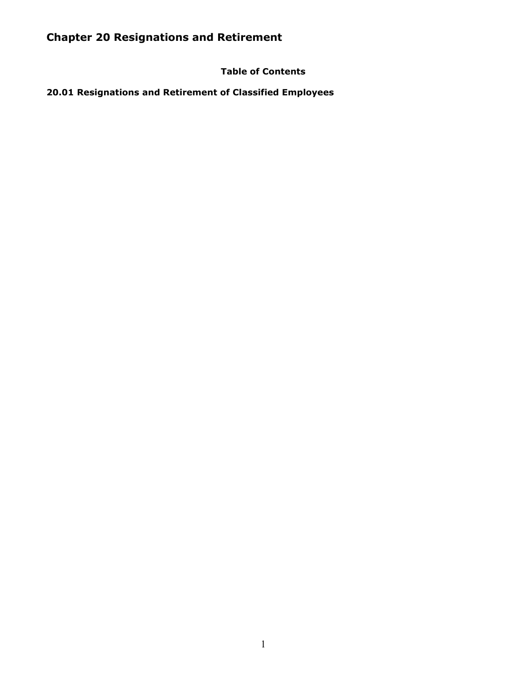# **Table of Contents**

**20.01 Resignations and Retirement of Classified Employees**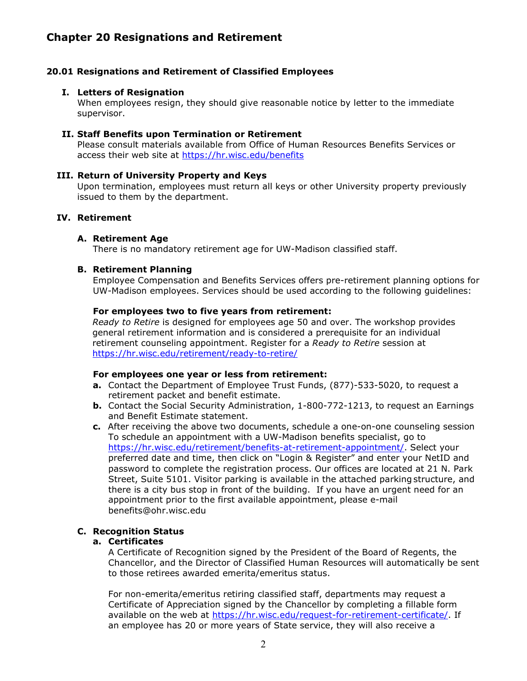### **20.01 Resignations and Retirement of Classified Employees**

#### **I. Letters of Resignation**

When employees resign, they should give reasonable notice by letter to the immediate supervisor.

#### **II. Staff Benefits upon Termination or Retirement**

Please consult materials available from Office of Human Resources Benefits Services or access their web site at<https://hr.wisc.edu/benefits>

#### **III. Return of University Property and Keys**

Upon termination, employees must return all keys or other University property previously issued to them by the department.

#### **IV. Retirement**

#### **A. Retirement Age**

There is no mandatory retirement age for UW-Madison classified staff.

#### **B. Retirement Planning**

Employee Compensation and Benefits Services offers pre-retirement planning options for UW-Madison employees. Services should be used according to the following guidelines:

#### **For employees two to five years from retirement:**

*Ready to Retire* is designed for employees age 50 and over. The workshop provides general retirement information and is considered a prerequisite for an individual retirement counseling appointment. Register for a *Ready to Retire* session at <https://hr.wisc.edu/retirement/ready-to-retire/>

#### **For employees one year or less from retirement:**

- **a.** Contact the Department of Employee Trust Funds, (877)-533-5020, to request a retirement packet and benefit estimate.
- **b.** Contact the Social Security Administration, 1-800-772-1213, to request an Earnings and Benefit Estimate statement.
- **c.** After receiving the above two documents, schedule a one-on-one counseling session To schedule an appointment with a UW-Madison benefits specialist, go to [https://hr.wisc.edu/retirement/benefits-at-retirement-appointment/.](https://hr.wisc.edu/retirement/benefits-at-retirement-appointment/) Select your preferred date and time, then click on "Login & Register" and enter your NetID and password to complete the registration process. Our offices are located at 21 N. Park Street, Suite 5101. Visitor parking is available in the attached parking structure, and there is a city bus stop in front of the building. If you have an urgent need for an appointment prior to the first available appointment, please e-mai[l](mailto:benefits@ohr.wisc.edu) [benefits@ohr.wisc.edu](mailto:benefits@ohr.wisc.edu)

# **C. Recognition Status**

#### **a. Certificates**

A Certificate of Recognition signed by the President of the Board of Regents, the Chancellor, and the Director of Classified Human Resources will automatically be sent to those retirees awarded emerita/emeritus status.

For non-emerita/emeritus retiring classified staff, departments may request a Certificate of Appreciation signed by the Chancellor by completing a fillable form available on the web at [https://hr.wisc.edu/request-for-retirement-certificate/.](https://hr.wisc.edu/request-for-retirement-certificate/) If an employee has 20 or more years of State service, they will also receive a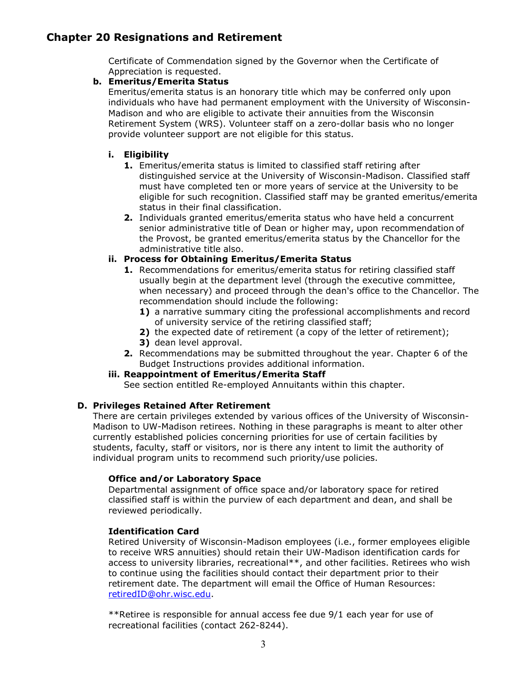Certificate of Commendation signed by the Governor when the Certificate of Appreciation is requested.

#### **b. Emeritus/Emerita Status**

Emeritus/emerita status is an honorary title which may be conferred only upon individuals who have had permanent employment with the University of Wisconsin-Madison and who are eligible to activate their annuities from the Wisconsin Retirement System (WRS). Volunteer staff on a zero-dollar basis who no longer provide volunteer support are not eligible for this status.

### **i. Eligibility**

- **1.** Emeritus/emerita status is limited to classified staff retiring after distinguished service at the University of Wisconsin-Madison. Classified staff must have completed ten or more years of service at the University to be eligible for such recognition. Classified staff may be granted emeritus/emerita status in their final classification.
- **2.** Individuals granted emeritus/emerita status who have held a concurrent senior administrative title of Dean or higher may, upon recommendation of the Provost, be granted emeritus/emerita status by the Chancellor for the administrative title also.

### **ii. Process for Obtaining Emeritus/Emerita Status**

- **1.** Recommendations for emeritus/emerita status for retiring classified staff usually begin at the department level (through the executive committee, when necessary) and proceed through the dean's office to the Chancellor. The recommendation should include the following:
	- **1)** a narrative summary citing the professional accomplishments and record of university service of the retiring classified staff;
	- **2)** the expected date of retirement (a copy of the letter of retirement);
	- **3)** dean level approval.
- **2.** Recommendations may be submitted throughout the year. Chapter 6 of the Budget Instructions provides additional information.

#### **iii. Reappointment of Emeritus/Emerita Staff**

See section entitled Re-employed Annuitants within this chapter.

#### **D. Privileges Retained After Retirement**

There are certain privileges extended by various offices of the University of Wisconsin-Madison to UW-Madison retirees. Nothing in these paragraphs is meant to alter other currently established policies concerning priorities for use of certain facilities by students, faculty, staff or visitors, nor is there any intent to limit the authority of individual program units to recommend such priority/use policies.

#### **Office and/or Laboratory Space**

Departmental assignment of office space and/or laboratory space for retired classified staff is within the purview of each department and dean, and shall be reviewed periodically.

#### **Identification Card**

Retired University of Wisconsin-Madison employees (i.e., former employees eligible to receive WRS annuities) should retain their UW-Madison identification cards for access to university libraries, recreational\*\*, and other facilities. Retirees who wish to continue using the facilities should contact their department prior to their retirement date. The department will email the Office of Human Resources: [retiredID@ohr.wisc.edu.](mailto:retiredID@ohr.wisc.edu)

\*\*Retiree is responsible for annual access fee due 9/1 each year for use of recreational facilities (contact 262-8244).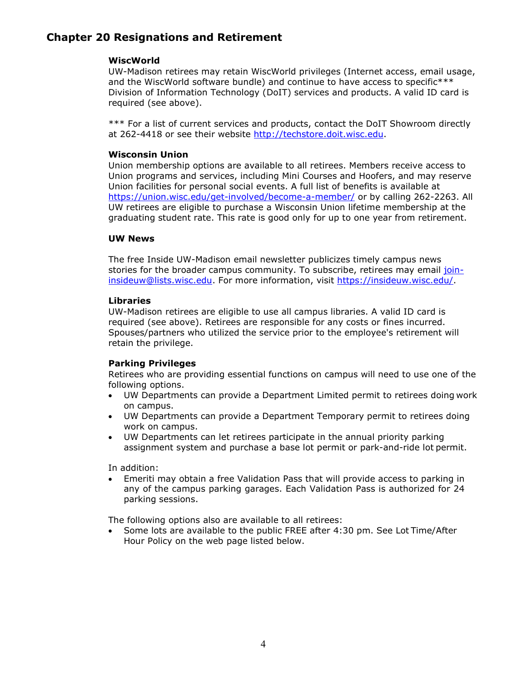#### **WiscWorld**

UW-Madison retirees may retain WiscWorld privileges (Internet access, email usage, and the WiscWorld software bundle) and continue to have access to specific\*\*\* Division of Information Technology (DoIT) services and products. A valid ID card is required (see above).

\*\*\* For a list of current services and products, contact the DoIT Showroom directly at 262-4418 or see their website [http://techstore.doit.wisc.edu.](http://techstore.doit.wisc.edu/)

### **Wisconsin Union**

Union membership options are available to all retirees. Members receive access to Union programs and services, including Mini Courses and Hoofers, and may reserve Union facilities for personal social events. A full list of benefits is available at <https://union.wisc.edu/get-involved/become-a-member/> or by calling 262-2263. All UW retirees are eligible to purchase a Wisconsin Union lifetime membership at the graduating student rate. This rate is good only for up to one year from retirement.

### **UW News**

The free Inside UW-Madison email newsletter publicizes timely campus news stories for the broader campus community. To subscribe, retirees may email [join](mailto:join-insideuw@lists.wisc.edu)[insideuw@lists.wisc.edu.](mailto:join-insideuw@lists.wisc.edu) For more information, visit [https://insideuw.wisc.edu/.](https://insideuw.wisc.edu/)

#### **Libraries**

UW-Madison retirees are eligible to use all campus libraries. A valid ID card is required (see above). Retirees are responsible for any costs or fines incurred. Spouses/partners who utilized the service prior to the employee's retirement will retain the privilege.

### **Parking Privileges**

Retirees who are providing essential functions on campus will need to use one of the following options.

- UW Departments can provide a Department Limited permit to retirees doing work on campus.
- UW Departments can provide a Department Temporary permit to retirees doing work on campus.
- UW Departments can let retirees participate in the annual priority parking assignment system and purchase a base lot permit or park-and-ride lot permit.

In addition:

• Emeriti may obtain a free Validation Pass that will provide access to parking in any of the campus parking garages. Each Validation Pass is authorized for 24 parking sessions.

The following options also are available to all retirees:

• Some lots are available to the public FREE after 4:30 pm. See Lot Time/After Hour Policy on the web page listed below.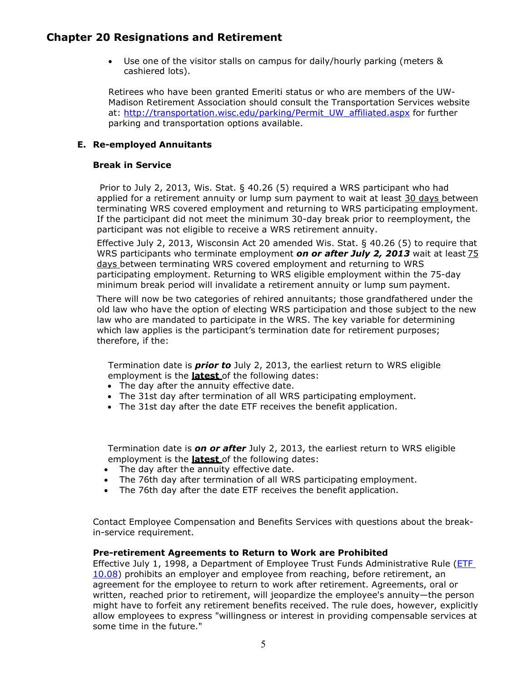• Use one of the visitor stalls on campus for daily/hourly parking (meters & cashiered lots).

Retirees who have been granted Emeriti status or who are members of the UW-Madison Retirement Association should consult the Transportation Services website at: [http://transportation.wisc.edu/parking/Permit\\_UW\\_affiliated.aspx](http://transportation.wisc.edu/parking/Permit_UW_affiliated.aspx) for further parking and transportation options available.

### **E. Re-employed Annuitants**

#### **Break in Service**

Prior to July 2, 2013, Wis. Stat. § 40.26 (5) required a WRS participant who had applied for a retirement annuity or lump sum payment to wait at least 30 days between terminating WRS covered employment and returning to WRS participating employment. If the participant did not meet the minimum 30-day break prior to reemployment, the participant was not eligible to receive a WRS retirement annuity.

Effective July 2, 2013, Wisconsin Act 20 amended Wis. Stat. § 40.26 (5) to require that WRS participants who terminate employment *on or after July 2, 2013* wait at least 75 days between terminating WRS covered employment and returning to WRS participating employment. Returning to WRS eligible employment within the 75-day minimum break period will invalidate a retirement annuity or lump sum payment.

There will now be two categories of rehired annuitants; those grandfathered under the old law who have the option of electing WRS participation and those subject to the new law who are mandated to participate in the WRS. The key variable for determining which law applies is the participant's termination date for retirement purposes; therefore, if the:

Termination date is *prior to* July 2, 2013, the earliest return to WRS eligible employment is the **latest** of the following dates:

- The day after the annuity effective date.
- The 31st day after termination of all WRS participating employment.
- The 31st day after the date ETF receives the benefit application.

Termination date is *on or after* July 2, 2013, the earliest return to WRS eligible employment is the **latest** of the following dates:

- The day after the annuity effective date.
- The 76th day after termination of all WRS participating employment.
- The 76th day after the date ETF receives the benefit application.

Contact Employee Compensation and Benefits Services with questions about the breakin-service requirement.

#### **Pre-retirement Agreements to Return to Work are Prohibited**

Effective July 1, 1998, a Department of Employee Trust Funds Administrative Rule [\(ETF](https://docs.legis.wisconsin.gov/code/admin_code/etf/10/08)  [10.08\)](https://docs.legis.wisconsin.gov/code/admin_code/etf/10/08) prohibits an employer and employee from reaching, before retirement, an agreement for the employee to return to work after retirement. Agreements, oral or written, reached prior to retirement, will jeopardize the employee's annuity—the person might have to forfeit any retirement benefits received. The rule does, however, explicitly allow employees to express "willingness or interest in providing compensable services at some time in the future."